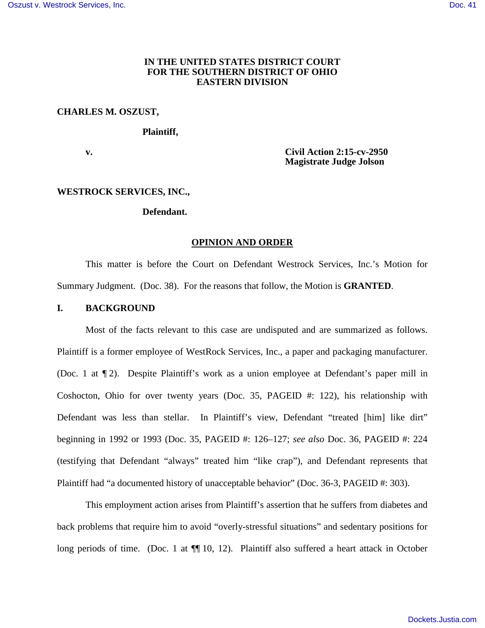# **IN THE UNITED STATES DISTRICT COURT FOR THE SOUTHERN DISTRICT OF OHIO EASTERN DIVISION**

#### **CHARLES M. OSZUST,**

#### **Plaintiff,**

 **v. Civil Action 2:15-cv-2950 Magistrate Judge Jolson** 

## **WESTROCK SERVICES, INC.,**

## **Defendant.**

#### **OPINION AND ORDER**

This matter is before the Court on Defendant Westrock Services, Inc.'s Motion for Summary Judgment. (Doc. 38). For the reasons that follow, the Motion is **GRANTED**.

#### **I. BACKGROUND**

Most of the facts relevant to this case are undisputed and are summarized as follows. Plaintiff is a former employee of WestRock Services, Inc., a paper and packaging manufacturer. (Doc. 1 at ¶ 2). Despite Plaintiff's work as a union employee at Defendant's paper mill in Coshocton, Ohio for over twenty years (Doc. 35, PAGEID #: 122), his relationship with Defendant was less than stellar. In Plaintiff's view, Defendant "treated [him] like dirt" beginning in 1992 or 1993 (Doc. 35, PAGEID #: 126–127; *see also* Doc. 36, PAGEID #: 224 (testifying that Defendant "always" treated him "like crap"), and Defendant represents that Plaintiff had "a documented history of unacceptable behavior" (Doc. 36-3, PAGEID #: 303).

This employment action arises from Plaintiff's assertion that he suffers from diabetes and back problems that require him to avoid "overly-stressful situations" and sedentary positions for long periods of time. (Doc. 1 at  $\P$ [10, 12). Plaintiff also suffered a heart attack in October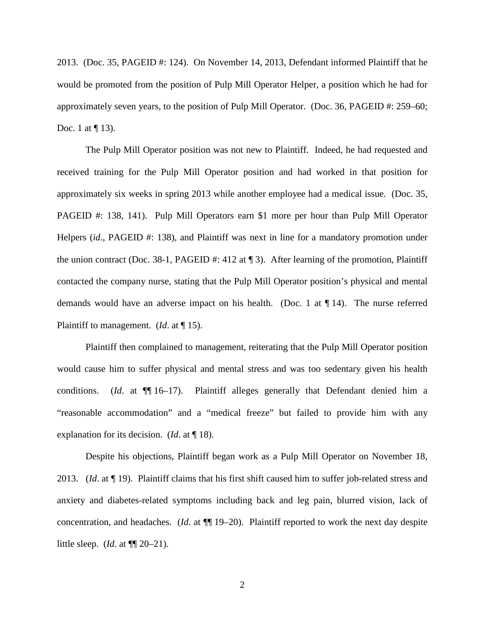2013. (Doc. 35, PAGEID #: 124). On November 14, 2013, Defendant informed Plaintiff that he would be promoted from the position of Pulp Mill Operator Helper, a position which he had for approximately seven years, to the position of Pulp Mill Operator. (Doc. 36, PAGEID #: 259–60; Doc. 1 at  $\P$  13).

The Pulp Mill Operator position was not new to Plaintiff. Indeed, he had requested and received training for the Pulp Mill Operator position and had worked in that position for approximately six weeks in spring 2013 while another employee had a medical issue. (Doc. 35, PAGEID #: 138, 141). Pulp Mill Operators earn \$1 more per hour than Pulp Mill Operator Helpers *(id., PAGEID #: 138), and Plaintiff was next in line for a mandatory promotion under* the union contract (Doc. 38-1, PAGEID #: 412 at ¶ 3). After learning of the promotion, Plaintiff contacted the company nurse, stating that the Pulp Mill Operator position's physical and mental demands would have an adverse impact on his health. (Doc. 1 at ¶ 14). The nurse referred Plaintiff to management. (*Id*. at ¶ 15).

Plaintiff then complained to management, reiterating that the Pulp Mill Operator position would cause him to suffer physical and mental stress and was too sedentary given his health conditions. (*Id*. at ¶¶ 16–17). Plaintiff alleges generally that Defendant denied him a "reasonable accommodation" and a "medical freeze" but failed to provide him with any explanation for its decision. (*Id*. at ¶ 18).

Despite his objections, Plaintiff began work as a Pulp Mill Operator on November 18, 2013. (*Id*. at ¶ 19). Plaintiff claims that his first shift caused him to suffer job-related stress and anxiety and diabetes-related symptoms including back and leg pain, blurred vision, lack of concentration, and headaches. (*Id*. at ¶¶ 19–20). Plaintiff reported to work the next day despite little sleep. (*Id*. at ¶¶ 20–21).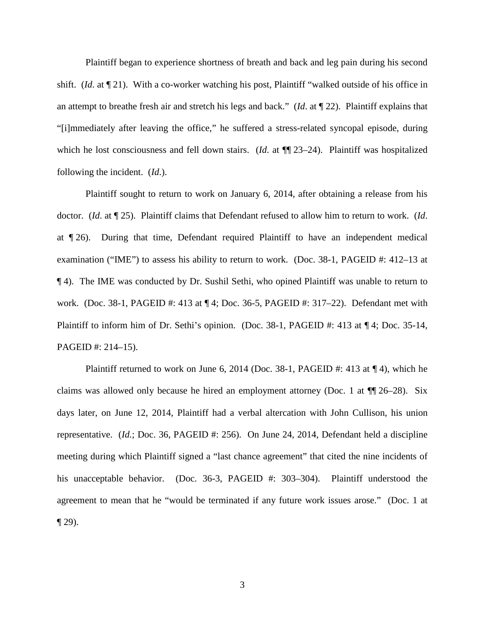Plaintiff began to experience shortness of breath and back and leg pain during his second shift. (*Id*. at ¶ 21). With a co-worker watching his post, Plaintiff "walked outside of his office in an attempt to breathe fresh air and stretch his legs and back." (*Id*. at ¶ 22). Plaintiff explains that "[i]mmediately after leaving the office," he suffered a stress-related syncopal episode, during which he lost consciousness and fell down stairs. (*Id.* at  $\P$  23–24). Plaintiff was hospitalized following the incident. (*Id*.).

Plaintiff sought to return to work on January 6, 2014, after obtaining a release from his doctor. (*Id*. at ¶ 25). Plaintiff claims that Defendant refused to allow him to return to work. (*Id*. at ¶ 26). During that time, Defendant required Plaintiff to have an independent medical examination ("IME") to assess his ability to return to work. (Doc. 38-1, PAGEID #: 412–13 at ¶ 4). The IME was conducted by Dr. Sushil Sethi, who opined Plaintiff was unable to return to work. (Doc. 38-1, PAGEID #: 413 at ¶ 4; Doc. 36-5, PAGEID #: 317–22). Defendant met with Plaintiff to inform him of Dr. Sethi's opinion. (Doc. 38-1, PAGEID #: 413 at  $\P$  4; Doc. 35-14, PAGEID #: 214–15).

Plaintiff returned to work on June 6, 2014 (Doc. 38-1, PAGEID #: 413 at  $\P$ 4), which he claims was allowed only because he hired an employment attorney (Doc. 1 at  $\P$  126–28). Six days later, on June 12, 2014, Plaintiff had a verbal altercation with John Cullison, his union representative. (*Id.*; Doc. 36, PAGEID #: 256). On June 24, 2014, Defendant held a discipline meeting during which Plaintiff signed a "last chance agreement" that cited the nine incidents of his unacceptable behavior. (Doc. 36-3, PAGEID #: 303–304). Plaintiff understood the agreement to mean that he "would be terminated if any future work issues arose." (Doc. 1 at  $\P$  29).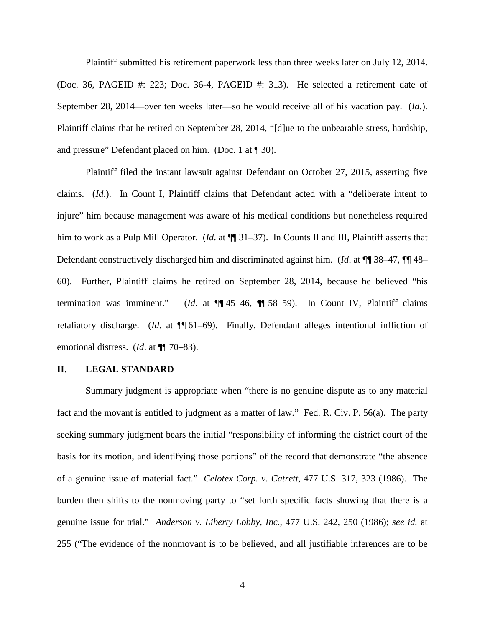Plaintiff submitted his retirement paperwork less than three weeks later on July 12, 2014. (Doc. 36, PAGEID #: 223; Doc. 36-4, PAGEID #: 313). He selected a retirement date of September 28, 2014—over ten weeks later—so he would receive all of his vacation pay. (*Id*.). Plaintiff claims that he retired on September 28, 2014, "[d]ue to the unbearable stress, hardship, and pressure" Defendant placed on him. (Doc. 1 at ¶ 30).

Plaintiff filed the instant lawsuit against Defendant on October 27, 2015, asserting five claims. (*Id*.). In Count I, Plaintiff claims that Defendant acted with a "deliberate intent to injure" him because management was aware of his medical conditions but nonetheless required him to work as a Pulp Mill Operator. (*Id.* at  $\P$  31–37). In Counts II and III, Plaintiff asserts that Defendant constructively discharged him and discriminated against him. (*Id*. at ¶¶ 38–47, ¶¶ 48– 60). Further, Plaintiff claims he retired on September 28, 2014, because he believed "his termination was imminent." (*Id*. at ¶¶ 45–46, ¶¶ 58–59). In Count IV, Plaintiff claims retaliatory discharge. (*Id*. at ¶¶ 61–69). Finally, Defendant alleges intentional infliction of emotional distress. (*Id*. at ¶¶ 70–83).

## **II. LEGAL STANDARD**

Summary judgment is appropriate when "there is no genuine dispute as to any material fact and the movant is entitled to judgment as a matter of law." Fed. R. Civ. P. 56(a). The party seeking summary judgment bears the initial "responsibility of informing the district court of the basis for its motion, and identifying those portions" of the record that demonstrate "the absence of a genuine issue of material fact." *Celotex Corp. v. Catrett*, 477 U.S. 317, 323 (1986). The burden then shifts to the nonmoving party to "set forth specific facts showing that there is a genuine issue for trial." *Anderson v. Liberty Lobby, Inc.*, 477 U.S. 242, 250 (1986); *see id.* at 255 ("The evidence of the nonmovant is to be believed, and all justifiable inferences are to be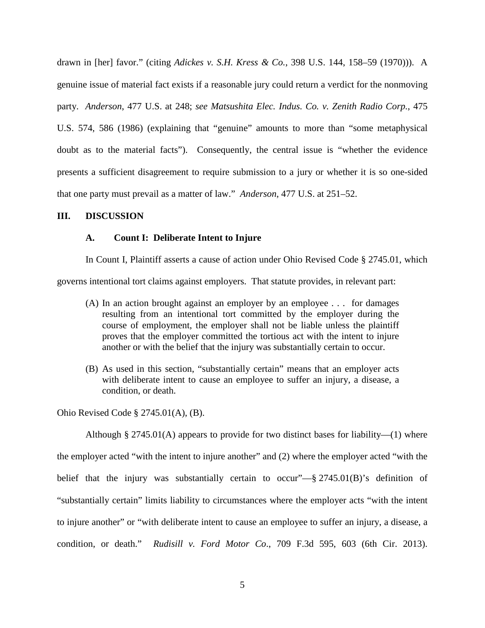drawn in [her] favor." (citing *Adickes v. S.H. Kress & Co.*, 398 U.S. 144, 158–59 (1970))). A genuine issue of material fact exists if a reasonable jury could return a verdict for the nonmoving party. *Anderson*, 477 U.S. at 248; *see Matsushita Elec. Indus. Co. v. Zenith Radio Corp.*, 475 U.S. 574, 586 (1986) (explaining that "genuine" amounts to more than "some metaphysical doubt as to the material facts"). Consequently, the central issue is "whether the evidence presents a sufficient disagreement to require submission to a jury or whether it is so one-sided that one party must prevail as a matter of law." *Anderson*, 477 U.S. at 251–52.

### **III. DISCUSSION**

## **A. Count I: Deliberate Intent to Injure**

In Count I, Plaintiff asserts a cause of action under Ohio Revised Code § 2745.01, which governs intentional tort claims against employers. That statute provides, in relevant part:

- (A) In an action brought against an employer by an employee . . . for damages resulting from an intentional tort committed by the employer during the course of employment, the employer shall not be liable unless the plaintiff proves that the employer committed the tortious act with the intent to injure another or with the belief that the injury was substantially certain to occur.
- (B) As used in this section, "substantially certain" means that an employer acts with deliberate intent to cause an employee to suffer an injury, a disease, a condition, or death.

Ohio Revised Code § 2745.01(A), (B).

Although § 2745.01(A) appears to provide for two distinct bases for liability—(1) where the employer acted "with the intent to injure another" and (2) where the employer acted "with the belief that the injury was substantially certain to occur"— $\S 2745.01(B)$ 's definition of "substantially certain" limits liability to circumstances where the employer acts "with the intent to injure another" or "with deliberate intent to cause an employee to suffer an injury, a disease, a condition, or death." *Rudisill v. Ford Motor Co*., 709 F.3d 595, 603 (6th Cir. 2013).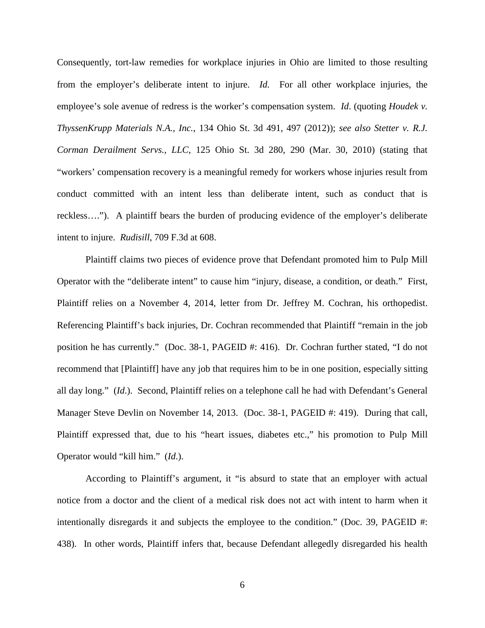Consequently, tort-law remedies for workplace injuries in Ohio are limited to those resulting from the employer's deliberate intent to injure. *Id.* For all other workplace injuries, the employee's sole avenue of redress is the worker's compensation system. *Id*. (quoting *Houdek v. ThyssenKrupp Materials N.A., Inc.*, 134 Ohio St. 3d 491, 497 (2012)); *see also Stetter v. R.J. Corman Derailment Servs., LLC*, 125 Ohio St. 3d 280, 290 (Mar. 30, 2010) (stating that "workers' compensation recovery is a meaningful remedy for workers whose injuries result from conduct committed with an intent less than deliberate intent, such as conduct that is reckless…."). A plaintiff bears the burden of producing evidence of the employer's deliberate intent to injure. *Rudisill*, 709 F.3d at 608.

Plaintiff claims two pieces of evidence prove that Defendant promoted him to Pulp Mill Operator with the "deliberate intent" to cause him "injury, disease, a condition, or death." First, Plaintiff relies on a November 4, 2014, letter from Dr. Jeffrey M. Cochran, his orthopedist. Referencing Plaintiff's back injuries, Dr. Cochran recommended that Plaintiff "remain in the job position he has currently." (Doc. 38-1, PAGEID #: 416). Dr. Cochran further stated, "I do not recommend that [Plaintiff] have any job that requires him to be in one position, especially sitting all day long." (*Id*.). Second, Plaintiff relies on a telephone call he had with Defendant's General Manager Steve Devlin on November 14, 2013. (Doc. 38-1, PAGEID #: 419). During that call, Plaintiff expressed that, due to his "heart issues, diabetes etc.," his promotion to Pulp Mill Operator would "kill him." (*Id*.).

According to Plaintiff's argument, it "is absurd to state that an employer with actual notice from a doctor and the client of a medical risk does not act with intent to harm when it intentionally disregards it and subjects the employee to the condition." (Doc. 39, PAGEID #: 438). In other words, Plaintiff infers that, because Defendant allegedly disregarded his health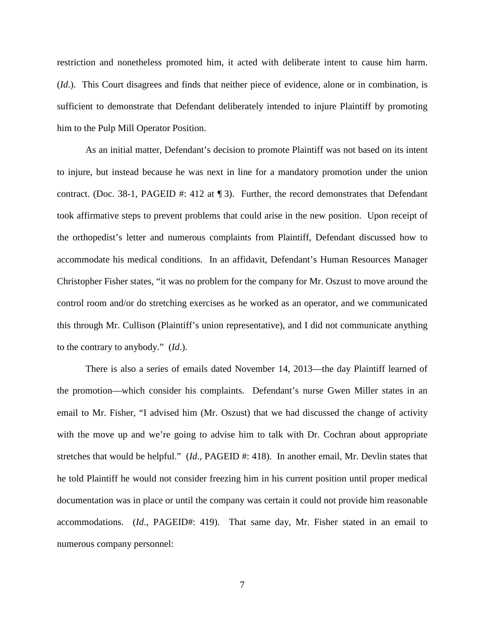restriction and nonetheless promoted him, it acted with deliberate intent to cause him harm. (*Id*.). This Court disagrees and finds that neither piece of evidence, alone or in combination, is sufficient to demonstrate that Defendant deliberately intended to injure Plaintiff by promoting him to the Pulp Mill Operator Position.

As an initial matter, Defendant's decision to promote Plaintiff was not based on its intent to injure, but instead because he was next in line for a mandatory promotion under the union contract. (Doc. 38-1, PAGEID #: 412 at ¶ 3). Further, the record demonstrates that Defendant took affirmative steps to prevent problems that could arise in the new position. Upon receipt of the orthopedist's letter and numerous complaints from Plaintiff, Defendant discussed how to accommodate his medical conditions. In an affidavit, Defendant's Human Resources Manager Christopher Fisher states, "it was no problem for the company for Mr. Oszust to move around the control room and/or do stretching exercises as he worked as an operator, and we communicated this through Mr. Cullison (Plaintiff's union representative), and I did not communicate anything to the contrary to anybody." (*Id*.).

There is also a series of emails dated November 14, 2013—the day Plaintiff learned of the promotion—which consider his complaints. Defendant's nurse Gwen Miller states in an email to Mr. Fisher, "I advised him (Mr. Oszust) that we had discussed the change of activity with the move up and we're going to advise him to talk with Dr. Cochran about appropriate stretches that would be helpful." (*Id*., PAGEID #: 418). In another email, Mr. Devlin states that he told Plaintiff he would not consider freezing him in his current position until proper medical documentation was in place or until the company was certain it could not provide him reasonable accommodations. (*Id*., PAGEID#: 419). That same day, Mr. Fisher stated in an email to numerous company personnel: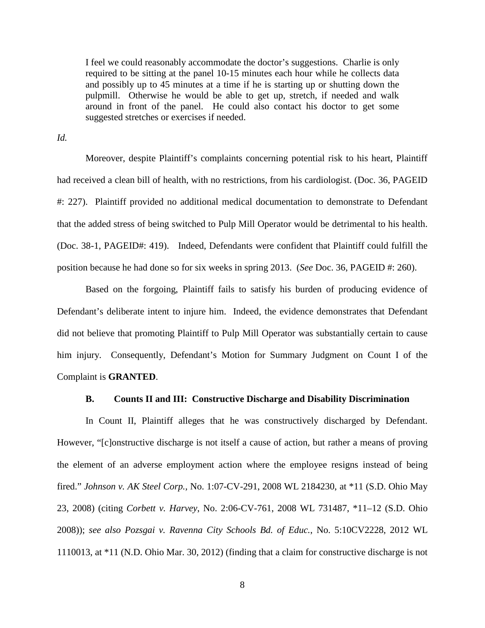I feel we could reasonably accommodate the doctor's suggestions. Charlie is only required to be sitting at the panel 10-15 minutes each hour while he collects data and possibly up to 45 minutes at a time if he is starting up or shutting down the pulpmill. Otherwise he would be able to get up, stretch, if needed and walk around in front of the panel. He could also contact his doctor to get some suggested stretches or exercises if needed.

*Id.*

Moreover, despite Plaintiff's complaints concerning potential risk to his heart, Plaintiff had received a clean bill of health, with no restrictions, from his cardiologist. (Doc. 36, PAGEID #: 227). Plaintiff provided no additional medical documentation to demonstrate to Defendant that the added stress of being switched to Pulp Mill Operator would be detrimental to his health. (Doc. 38-1, PAGEID#: 419). Indeed, Defendants were confident that Plaintiff could fulfill the position because he had done so for six weeks in spring 2013. (*See* Doc. 36, PAGEID #: 260).

Based on the forgoing, Plaintiff fails to satisfy his burden of producing evidence of Defendant's deliberate intent to injure him. Indeed, the evidence demonstrates that Defendant did not believe that promoting Plaintiff to Pulp Mill Operator was substantially certain to cause him injury. Consequently, Defendant's Motion for Summary Judgment on Count I of the Complaint is **GRANTED**.

# **B. Counts II and III: Constructive Discharge and Disability Discrimination**

In Count II, Plaintiff alleges that he was constructively discharged by Defendant. However, "[c]onstructive discharge is not itself a cause of action, but rather a means of proving the element of an adverse employment action where the employee resigns instead of being fired." *Johnson v. AK Steel Corp.,* No. 1:07-CV-291, 2008 WL 2184230, at \*11 (S.D. Ohio May 23, 2008) (citing *Corbett v. Harvey*, No. 2:06-CV-761, 2008 WL 731487, \*11–12 (S.D. Ohio 2008)); *see also Pozsgai v. Ravenna City Schools Bd. of Educ.*, No. 5:10CV2228, 2012 WL 1110013, at \*11 (N.D. Ohio Mar. 30, 2012) (finding that a claim for constructive discharge is not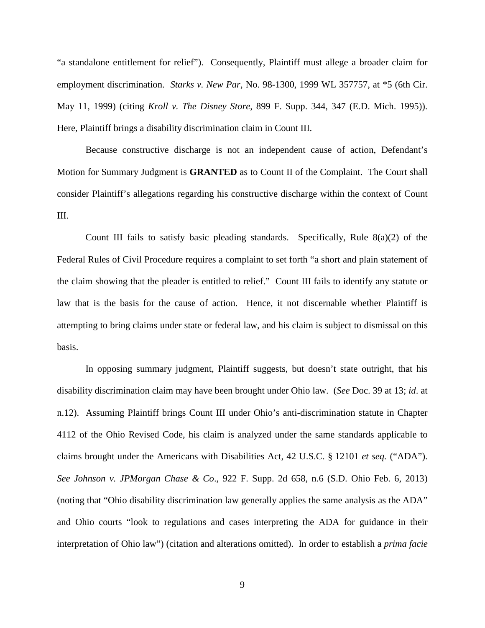"a standalone entitlement for relief"). Consequently, Plaintiff must allege a broader claim for employment discrimination. *Starks v. New Par*, No. 98-1300, 1999 WL 357757, at \*5 (6th Cir. May 11, 1999) (citing *Kroll v. The Disney Store*, 899 F. Supp. 344, 347 (E.D. Mich. 1995)). Here, Plaintiff brings a disability discrimination claim in Count III.

Because constructive discharge is not an independent cause of action, Defendant's Motion for Summary Judgment is **GRANTED** as to Count II of the Complaint. The Court shall consider Plaintiff's allegations regarding his constructive discharge within the context of Count III.

Count III fails to satisfy basic pleading standards. Specifically, Rule  $8(a)(2)$  of the Federal Rules of Civil Procedure requires a complaint to set forth "a short and plain statement of the claim showing that the pleader is entitled to relief." Count III fails to identify any statute or law that is the basis for the cause of action. Hence, it not discernable whether Plaintiff is attempting to bring claims under state or federal law, and his claim is subject to dismissal on this basis.

In opposing summary judgment, Plaintiff suggests, but doesn't state outright, that his disability discrimination claim may have been brought under Ohio law. (*See* Doc. 39 at 13; *id*. at n.12). Assuming Plaintiff brings Count III under Ohio's anti-discrimination statute in Chapter 4112 of the Ohio Revised Code, his claim is analyzed under the same standards applicable to claims brought under the Americans with Disabilities Act, 42 U.S.C. § 12101 *et seq.* ("ADA"). *See Johnson v. JPMorgan Chase & Co*., 922 F. Supp. 2d 658, n.6 (S.D. Ohio Feb. 6, 2013) (noting that "Ohio disability discrimination law generally applies the same analysis as the ADA" and Ohio courts "look to regulations and cases interpreting the ADA for guidance in their interpretation of Ohio law") (citation and alterations omitted). In order to establish a *prima facie*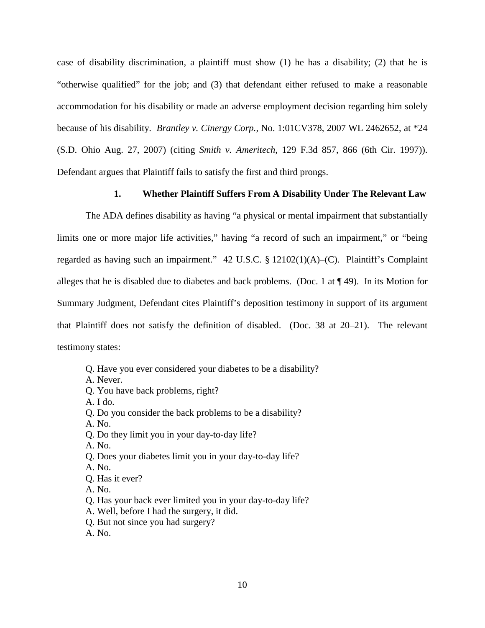case of disability discrimination, a plaintiff must show (1) he has a disability; (2) that he is "otherwise qualified" for the job; and (3) that defendant either refused to make a reasonable accommodation for his disability or made an adverse employment decision regarding him solely because of his disability. *Brantley v. Cinergy Corp.*, No. 1:01CV378, 2007 WL 2462652, at \*24 (S.D. Ohio Aug. 27, 2007) (citing *Smith v. Ameritech*, 129 F.3d 857, 866 (6th Cir. 1997)). Defendant argues that Plaintiff fails to satisfy the first and third prongs.

# **1. Whether Plaintiff Suffers From A Disability Under The Relevant Law**

The ADA defines disability as having "a physical or mental impairment that substantially limits one or more major life activities," having "a record of such an impairment," or "being regarded as having such an impairment." 42 U.S.C. § 12102(1)(A)–(C). Plaintiff's Complaint alleges that he is disabled due to diabetes and back problems. (Doc. 1 at ¶ 49). In its Motion for Summary Judgment, Defendant cites Plaintiff's deposition testimony in support of its argument that Plaintiff does not satisfy the definition of disabled. (Doc. 38 at 20–21). The relevant testimony states:

- Q. Have you ever considered your diabetes to be a disability?
- A. Never.
- Q. You have back problems, right?
- A. I do.
- Q. Do you consider the back problems to be a disability?
- A. No.
- Q. Do they limit you in your day-to-day life?
- A. No.
- Q. Does your diabetes limit you in your day-to-day life?
- A. No.
- Q. Has it ever?
- A. No.
- Q. Has your back ever limited you in your day-to-day life?
- A. Well, before I had the surgery, it did.
- Q. But not since you had surgery?
- A. No.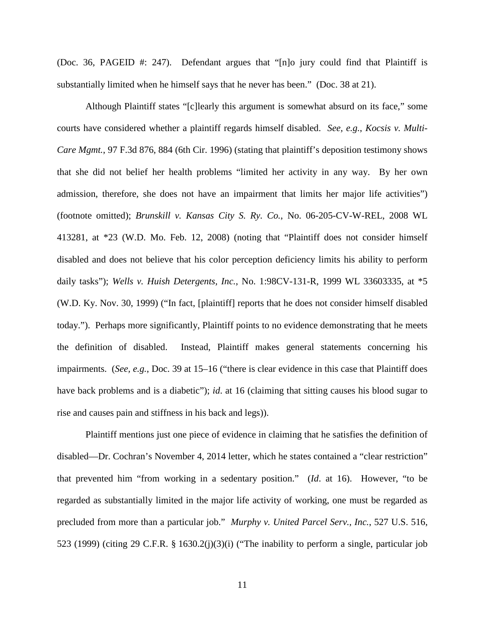(Doc. 36, PAGEID #: 247). Defendant argues that "[n]o jury could find that Plaintiff is substantially limited when he himself says that he never has been." (Doc. 38 at 21).

Although Plaintiff states "[c]learly this argument is somewhat absurd on its face," some courts have considered whether a plaintiff regards himself disabled. *See, e.g.*, *Kocsis v. Multi-Care Mgmt.*, 97 F.3d 876, 884 (6th Cir. 1996) (stating that plaintiff's deposition testimony shows that she did not belief her health problems "limited her activity in any way. By her own admission, therefore, she does not have an impairment that limits her major life activities") (footnote omitted); *Brunskill v. Kansas City S. Ry. Co.*, No. 06-205-CV-W-REL, 2008 WL 413281, at \*23 (W.D. Mo. Feb. 12, 2008) (noting that "Plaintiff does not consider himself disabled and does not believe that his color perception deficiency limits his ability to perform daily tasks"); *Wells v. Huish Detergents, Inc.*, No. 1:98CV-131-R, 1999 WL 33603335, at \*5 (W.D. Ky. Nov. 30, 1999) ("In fact, [plaintiff] reports that he does not consider himself disabled today."). Perhaps more significantly, Plaintiff points to no evidence demonstrating that he meets the definition of disabled. Instead, Plaintiff makes general statements concerning his impairments. (*See, e.g.*, Doc. 39 at 15–16 ("there is clear evidence in this case that Plaintiff does have back problems and is a diabetic"); *id*. at 16 (claiming that sitting causes his blood sugar to rise and causes pain and stiffness in his back and legs)).

Plaintiff mentions just one piece of evidence in claiming that he satisfies the definition of disabled—Dr. Cochran's November 4, 2014 letter, which he states contained a "clear restriction" that prevented him "from working in a sedentary position." (*Id*. at 16). However, "to be regarded as substantially limited in the major life activity of working, one must be regarded as precluded from more than a particular job." *Murphy v. United Parcel Serv., Inc.*, 527 U.S. 516, 523 (1999) (citing 29 C.F.R. § 1630.2(j)(3)(i) ("The inability to perform a single, particular job

11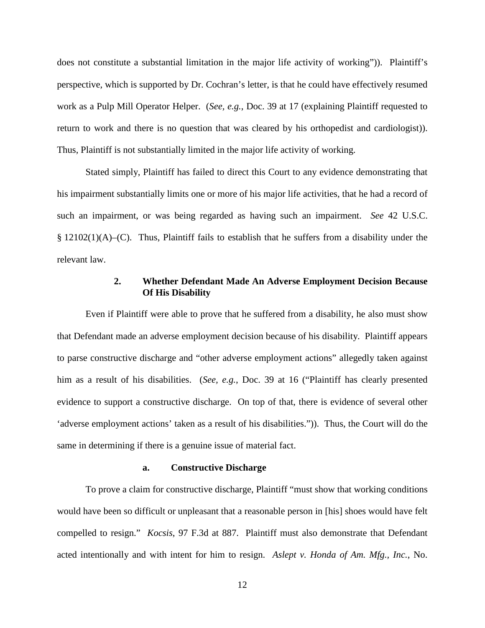does not constitute a substantial limitation in the major life activity of working")). Plaintiff's perspective, which is supported by Dr. Cochran's letter, is that he could have effectively resumed work as a Pulp Mill Operator Helper. (*See, e.g.*, Doc. 39 at 17 (explaining Plaintiff requested to return to work and there is no question that was cleared by his orthopedist and cardiologist)). Thus, Plaintiff is not substantially limited in the major life activity of working.

Stated simply, Plaintiff has failed to direct this Court to any evidence demonstrating that his impairment substantially limits one or more of his major life activities, that he had a record of such an impairment, or was being regarded as having such an impairment. *See* 42 U.S.C. § 12102(1)(A)–(C). Thus, Plaintiff fails to establish that he suffers from a disability under the relevant law.

# **2. Whether Defendant Made An Adverse Employment Decision Because Of His Disability**

Even if Plaintiff were able to prove that he suffered from a disability, he also must show that Defendant made an adverse employment decision because of his disability. Plaintiff appears to parse constructive discharge and "other adverse employment actions" allegedly taken against him as a result of his disabilities. (*See, e.g.*, Doc. 39 at 16 ("Plaintiff has clearly presented evidence to support a constructive discharge. On top of that, there is evidence of several other 'adverse employment actions' taken as a result of his disabilities.")). Thus, the Court will do the same in determining if there is a genuine issue of material fact.

## **a. Constructive Discharge**

To prove a claim for constructive discharge, Plaintiff "must show that working conditions would have been so difficult or unpleasant that a reasonable person in [his] shoes would have felt compelled to resign." *Kocsis*, 97 F.3d at 887. Plaintiff must also demonstrate that Defendant acted intentionally and with intent for him to resign. *Aslept v. Honda of Am. Mfg., Inc.*, No.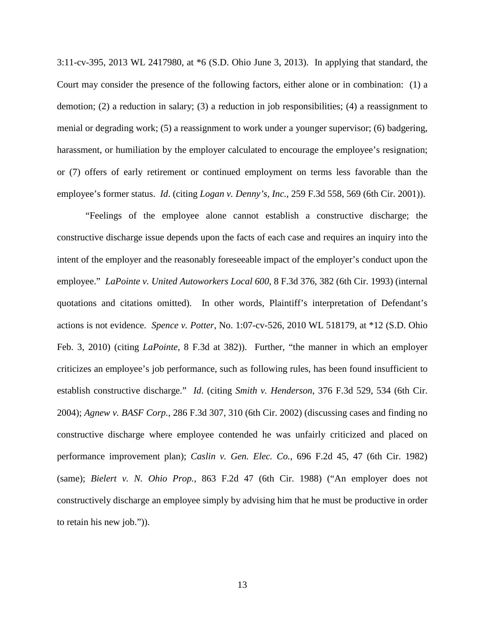3:11-cv-395, 2013 WL 2417980, at \*6 (S.D. Ohio June 3, 2013). In applying that standard, the Court may consider the presence of the following factors, either alone or in combination: (1) a demotion; (2) a reduction in salary; (3) a reduction in job responsibilities; (4) a reassignment to menial or degrading work; (5) a reassignment to work under a younger supervisor; (6) badgering, harassment, or humiliation by the employer calculated to encourage the employee's resignation; or (7) offers of early retirement or continued employment on terms less favorable than the employee's former status. *Id*. (citing *Logan v. Denny's, Inc.*[, 259 F.3d 558, 569 \(6th Cir. 2001\)\)](https://1.next.westlaw.com/Link/Document/FullText?findType=Y&serNum=2001698345&pubNum=506&originatingDoc=Iefd8978ecdb511e2a555d241dae65084&refType=RP&fi=co_pp_sp_506_569&originationContext=document&transitionType=DocumentItem&contextData=(sc.Search)#co_pp_sp_506_569).

"Feelings of the employee alone cannot establish a constructive discharge; the constructive discharge issue depends upon the facts of each case and requires an inquiry into the intent of the employer and the reasonably foreseeable impact of the employer's conduct upon the employee." *[LaPointe v. United Autoworkers Local 600](https://1.next.westlaw.com/Link/Document/FullText?findType=Y&serNum=1993205477&pubNum=506&originatingDoc=I460f0be71a1911df8bf6cd8525c41437&refType=RP&fi=co_pp_sp_506_382&originationContext=document&transitionType=DocumentItem&contextData=(sc.Search)#co_pp_sp_506_382)*, 8 F.3d 376, 382 (6th Cir. 1993) (internal quotations and citations omitted). In other words, Plaintiff's interpretation of Defendant's actions is not evidence. *Spence v. Potter*, No. 1:07-cv-526, 2010 WL 518179, at \*12 (S.D. Ohio Feb. 3, 2010) (citing *LaPointe*, 8 F.3d at 382)). Further, "the manner in which an employer criticizes an employee's job performance, such as following rules, has been found insufficient to establish constructive discharge." *Id*. (citing *Smith v. Henderson*[, 376 F.3d 529, 534 \(6th Cir.](https://1.next.westlaw.com/Link/Document/FullText?findType=Y&serNum=2004699382&pubNum=506&originatingDoc=I460f0be71a1911df8bf6cd8525c41437&refType=RP&fi=co_pp_sp_506_534&originationContext=document&transitionType=DocumentItem&contextData=(sc.Search)#co_pp_sp_506_534)  [2004\);](https://1.next.westlaw.com/Link/Document/FullText?findType=Y&serNum=2004699382&pubNum=506&originatingDoc=I460f0be71a1911df8bf6cd8525c41437&refType=RP&fi=co_pp_sp_506_534&originationContext=document&transitionType=DocumentItem&contextData=(sc.Search)#co_pp_sp_506_534) *Agnew v. BASF Corp.*[, 286 F.3d 307, 310 \(6th Cir. 2002\)](https://1.next.westlaw.com/Link/Document/FullText?findType=Y&serNum=2002236826&pubNum=506&originatingDoc=I460f0be71a1911df8bf6cd8525c41437&refType=RP&fi=co_pp_sp_506_310&originationContext=document&transitionType=DocumentItem&contextData=(sc.Search)#co_pp_sp_506_310) (discussing cases and finding no constructive discharge where employee contended he was unfairly criticized and placed on performance improvement plan); *Caslin v. Gen. Elec. Co.*[, 696 F.2d 45, 47 \(6th Cir. 1982\)](https://1.next.westlaw.com/Link/Document/FullText?findType=Y&serNum=1983100356&pubNum=350&originatingDoc=I460f0be71a1911df8bf6cd8525c41437&refType=RP&fi=co_pp_sp_350_47&originationContext=document&transitionType=DocumentItem&contextData=(sc.Search)#co_pp_sp_350_47) (same); *Bielert v. N. Ohio Prop.*[, 863 F.2d 47 \(6th Cir. 1988\)](https://1.next.westlaw.com/Link/Document/FullText?findType=Y&serNum=1988152566&pubNum=350&originatingDoc=I460f0be71a1911df8bf6cd8525c41437&refType=RP&originationContext=document&transitionType=DocumentItem&contextData=(sc.Search)) ("An employer does not constructively discharge an employee simply by advising him that he must be productive in order to retain his new job.")).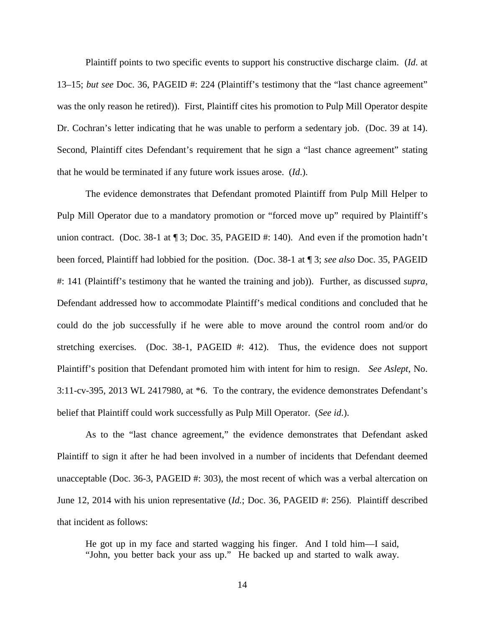Plaintiff points to two specific events to support his constructive discharge claim. (*Id*. at 13–15; *but see* Doc. 36, PAGEID #: 224 (Plaintiff's testimony that the "last chance agreement" was the only reason he retired)). First, Plaintiff cites his promotion to Pulp Mill Operator despite Dr. Cochran's letter indicating that he was unable to perform a sedentary job. (Doc. 39 at 14). Second, Plaintiff cites Defendant's requirement that he sign a "last chance agreement" stating that he would be terminated if any future work issues arose. (*Id*.).

The evidence demonstrates that Defendant promoted Plaintiff from Pulp Mill Helper to Pulp Mill Operator due to a mandatory promotion or "forced move up" required by Plaintiff's union contract. (Doc. 38-1 at ¶ 3; Doc. 35, PAGEID #: 140). And even if the promotion hadn't been forced, Plaintiff had lobbied for the position. (Doc. 38-1 at ¶ 3; *see also* Doc. 35, PAGEID #: 141 (Plaintiff's testimony that he wanted the training and job)). Further, as discussed *supra*, Defendant addressed how to accommodate Plaintiff's medical conditions and concluded that he could do the job successfully if he were able to move around the control room and/or do stretching exercises. (Doc. 38-1, PAGEID #: 412). Thus, the evidence does not support Plaintiff's position that Defendant promoted him with intent for him to resign. *See Aslept*, No. 3:11-cv-395, 2013 WL 2417980, at \*6. To the contrary, the evidence demonstrates Defendant's belief that Plaintiff could work successfully as Pulp Mill Operator. (*See id*.).

As to the "last chance agreement," the evidence demonstrates that Defendant asked Plaintiff to sign it after he had been involved in a number of incidents that Defendant deemed unacceptable (Doc. 36-3, PAGEID #: 303), the most recent of which was a verbal altercation on June 12, 2014 with his union representative (*Id.*; Doc. 36, PAGEID #: 256). Plaintiff described that incident as follows:

He got up in my face and started wagging his finger. And I told him—I said, "John, you better back your ass up." He backed up and started to walk away.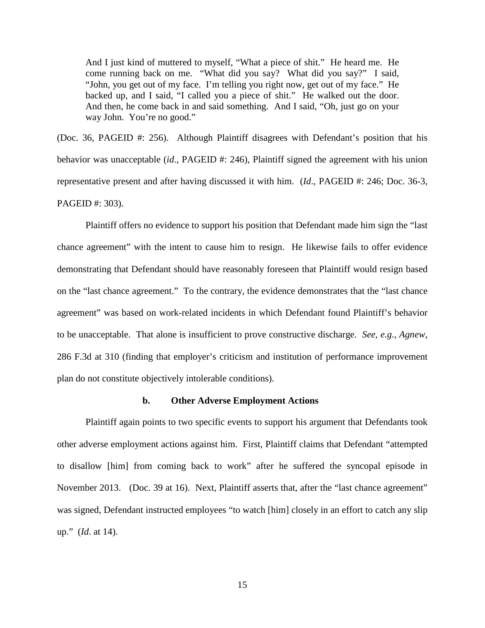And I just kind of muttered to myself, "What a piece of shit." He heard me. He come running back on me. "What did you say? What did you say?" I said, "John, you get out of my face. I'm telling you right now, get out of my face." He backed up, and I said, "I called you a piece of shit." He walked out the door. And then, he come back in and said something. And I said, "Oh, just go on your way John. You're no good."

(Doc. 36, PAGEID #: 256). Although Plaintiff disagrees with Defendant's position that his behavior was unacceptable *(id., PAGEID #*: 246), Plaintiff signed the agreement with his union representative present and after having discussed it with him. (*Id*., PAGEID #: 246; Doc. 36-3, PAGEID #: 303).

Plaintiff offers no evidence to support his position that Defendant made him sign the "last chance agreement" with the intent to cause him to resign. He likewise fails to offer evidence demonstrating that Defendant should have reasonably foreseen that Plaintiff would resign based on the "last chance agreement." To the contrary, the evidence demonstrates that the "last chance agreement" was based on work-related incidents in which Defendant found Plaintiff's behavior to be unacceptable. That alone is insufficient to prove constructive discharge. *See, e.g.*, *Agnew*, 286 F.3d at 310 (finding that employer's criticism and institution of performance improvement plan do not constitute objectively intolerable conditions).

## **b. Other Adverse Employment Actions**

Plaintiff again points to two specific events to support his argument that Defendants took other adverse employment actions against him. First, Plaintiff claims that Defendant "attempted to disallow [him] from coming back to work" after he suffered the syncopal episode in November 2013. (Doc. 39 at 16). Next, Plaintiff asserts that, after the "last chance agreement" was signed, Defendant instructed employees "to watch [him] closely in an effort to catch any slip up." (*Id*. at 14).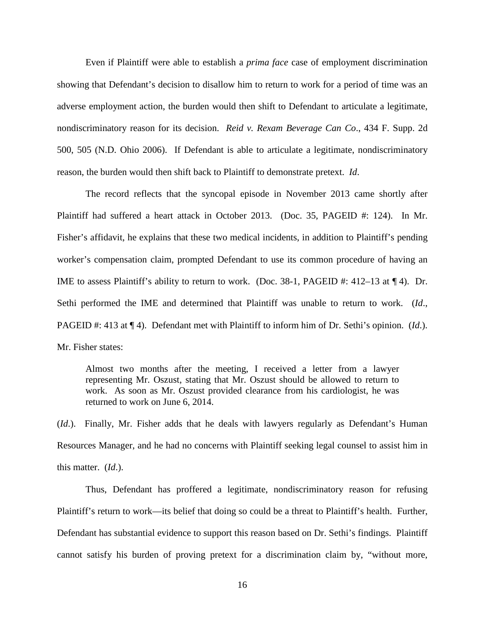Even if Plaintiff were able to establish a *prima face* case of employment discrimination showing that Defendant's decision to disallow him to return to work for a period of time was an adverse employment action, the burden would then shift to Defendant to articulate a legitimate, nondiscriminatory reason for its decision. *Reid v. Rexam Beverage Can Co*., 434 F. Supp. 2d 500, 505 (N.D. Ohio 2006). If Defendant is able to articulate a legitimate, nondiscriminatory reason, the burden would then shift back to Plaintiff to demonstrate pretext. *Id*.

The record reflects that the syncopal episode in November 2013 came shortly after Plaintiff had suffered a heart attack in October 2013. (Doc. 35, PAGEID #: 124). In Mr. Fisher's affidavit, he explains that these two medical incidents, in addition to Plaintiff's pending worker's compensation claim, prompted Defendant to use its common procedure of having an IME to assess Plaintiff's ability to return to work. (Doc. 38-1, PAGEID #: 412–13 at ¶ 4). Dr. Sethi performed the IME and determined that Plaintiff was unable to return to work. (*Id*., PAGEID #: 413 at ¶ 4). Defendant met with Plaintiff to inform him of Dr. Sethi's opinion. (*Id*.). Mr. Fisher states:

Almost two months after the meeting, I received a letter from a lawyer representing Mr. Oszust, stating that Mr. Oszust should be allowed to return to work. As soon as Mr. Oszust provided clearance from his cardiologist, he was returned to work on June 6, 2014.

(*Id*.). Finally, Mr. Fisher adds that he deals with lawyers regularly as Defendant's Human Resources Manager, and he had no concerns with Plaintiff seeking legal counsel to assist him in this matter. (*Id*.).

Thus, Defendant has proffered a legitimate, nondiscriminatory reason for refusing Plaintiff's return to work—its belief that doing so could be a threat to Plaintiff's health. Further, Defendant has substantial evidence to support this reason based on Dr. Sethi's findings. Plaintiff cannot satisfy his burden of proving pretext for a discrimination claim by, "without more,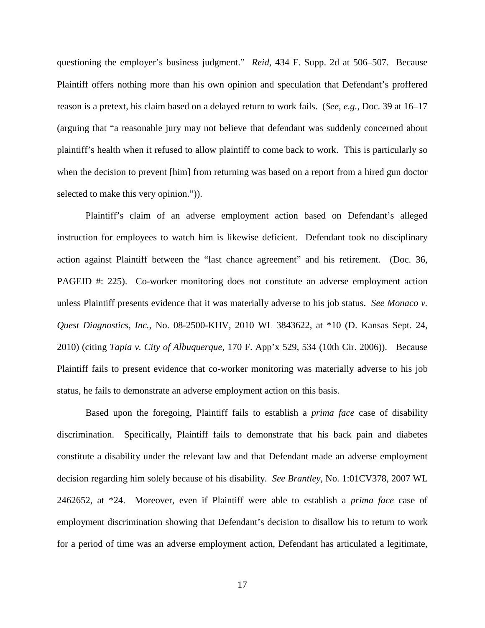questioning the employer's business judgment." *Reid*, 434 F. Supp. 2d at 506–507. Because Plaintiff offers nothing more than his own opinion and speculation that Defendant's proffered reason is a pretext, his claim based on a delayed return to work fails. (*See, e.g.*, Doc. 39 at 16–17 (arguing that "a reasonable jury may not believe that defendant was suddenly concerned about plaintiff's health when it refused to allow plaintiff to come back to work. This is particularly so when the decision to prevent [him] from returning was based on a report from a hired gun doctor selected to make this very opinion.")).

Plaintiff's claim of an adverse employment action based on Defendant's alleged instruction for employees to watch him is likewise deficient. Defendant took no disciplinary action against Plaintiff between the "last chance agreement" and his retirement. (Doc. 36, PAGEID #: 225). Co-worker monitoring does not constitute an adverse employment action unless Plaintiff presents evidence that it was materially adverse to his job status. *See Monaco v. Quest Diagnostics, Inc.*, No. 08-2500-KHV, 2010 WL 3843622, at \*10 (D. Kansas Sept. 24, 2010) (citing *Tapia v. City of Albuquerque*, 170 F. App'x 529, 534 (10th Cir. 2006)). Because Plaintiff fails to present evidence that co-worker monitoring was materially adverse to his job status, he fails to demonstrate an adverse employment action on this basis.

Based upon the foregoing, Plaintiff fails to establish a *prima face* case of disability discrimination. Specifically, Plaintiff fails to demonstrate that his back pain and diabetes constitute a disability under the relevant law and that Defendant made an adverse employment decision regarding him solely because of his disability. *See Brantley*, No. 1:01CV378, 2007 WL 2462652, at \*24. Moreover, even if Plaintiff were able to establish a *prima face* case of employment discrimination showing that Defendant's decision to disallow his to return to work for a period of time was an adverse employment action, Defendant has articulated a legitimate,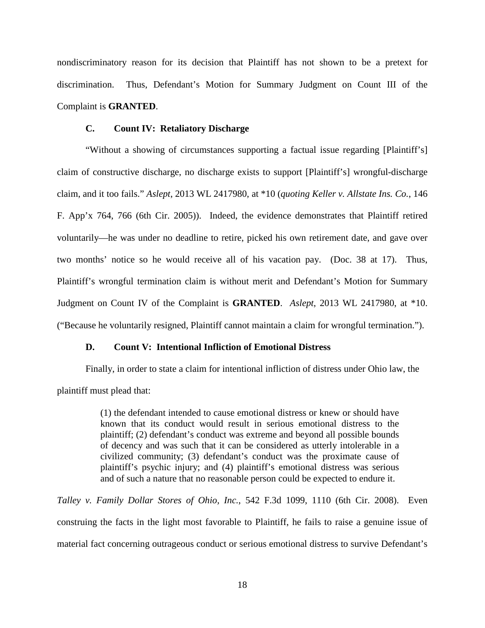nondiscriminatory reason for its decision that Plaintiff has not shown to be a pretext for discrimination. Thus, Defendant's Motion for Summary Judgment on Count III of the Complaint is **GRANTED**.

## **C. Count IV: Retaliatory Discharge**

"Without a showing of circumstances supporting a factual issue regarding [Plaintiff's] claim of constructive discharge, no discharge exists to support [Plaintiff's] wrongful-discharge claim, and it too fails." *Aslept*, 2013 WL 2417980, at \*10 (*quoting Keller v. Allstate Ins. Co.*, 146 F. App'x 764, 766 (6th Cir. 2005)). Indeed, the evidence demonstrates that Plaintiff retired voluntarily—he was under no deadline to retire, picked his own retirement date, and gave over two months' notice so he would receive all of his vacation pay. (Doc. 38 at 17). Thus, Plaintiff's wrongful termination claim is without merit and Defendant's Motion for Summary Judgment on Count IV of the Complaint is **GRANTED**. *Aslept*, 2013 WL 2417980, at \*10. ("Because he voluntarily resigned, Plaintiff cannot maintain a claim for wrongful termination.").

# **D. Count V: Intentional Infliction of Emotional Distress**

Finally, in order to state a claim for intentional infliction of distress under Ohio law, the plaintiff must plead that:

> (1) the defendant intended to cause emotional distress or knew or should have known that its conduct would result in serious emotional distress to the plaintiff; (2) defendant's conduct was extreme and beyond all possible bounds of decency and was such that it can be considered as utterly intolerable in a civilized community; (3) defendant's conduct was the proximate cause of plaintiff's psychic injury; and (4) plaintiff's emotional distress was serious and of such a nature that no reasonable person could be expected to endure it.

*Talley v. Family Dollar Stores of Ohio, Inc.*, 542 F.3d 1099, 1110 (6th Cir. 2008). Even construing the facts in the light most favorable to Plaintiff, he fails to raise a genuine issue of material fact concerning outrageous conduct or serious emotional distress to survive Defendant's